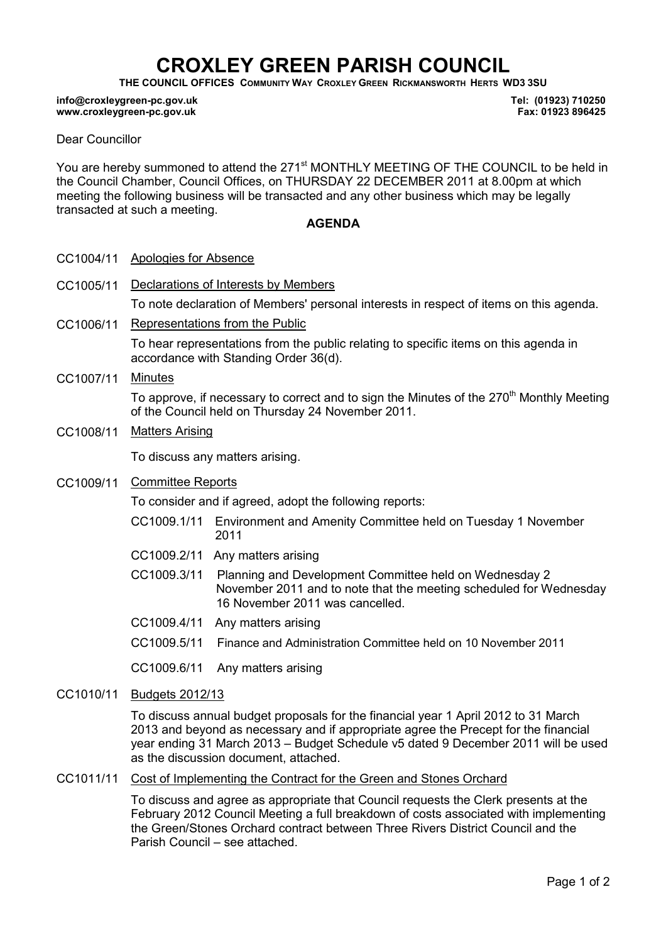# CROXLEY GREEN PARISH COUNCIL

THE COUNCIL OFFICES COMMUNITY WAY CROXLEY GREEN RICKMANSWORTH HERTS WD3 3SU

#### info@croxleygreen-pc.gov.uk www.croxleygreen-pc.gov.uk

Tel: (01923) 710250 Fax: 01923 896425

#### Dear Councillor

You are hereby summoned to attend the 271<sup>st</sup> MONTHLY MEETING OF THE COUNCIL to be held in the Council Chamber, Council Offices, on THURSDAY 22 DECEMBER 2011 at 8.00pm at which meeting the following business will be transacted and any other business which may be legally transacted at such a meeting.

#### AGENDA

- CC1004/11 Apologies for Absence
- CC1005/11 Declarations of Interests by Members To note declaration of Members' personal interests in respect of items on this agenda.
- CC1006/11 Representations from the Public To hear representations from the public relating to specific items on this agenda in accordance with Standing Order 36(d).
- CC1007/11 Minutes

To approve, if necessary to correct and to sign the Minutes of the 270<sup>th</sup> Monthly Meeting of the Council held on Thursday 24 November 2011.

CC1008/11 Matters Arising

To discuss any matters arising.

CC1009/11 Committee Reports

To consider and if agreed, adopt the following reports:

- CC1009.1/11 Environment and Amenity Committee held on Tuesday 1 November 2011
- CC1009.2/11 Any matters arising
- C CC1009.3/11 Planning and Development Committee held on Wednesday 2 November 2011 and to note that the meeting scheduled for Wednesday 16 November 2011 was cancelled.
- CC1009.4/11 Any matters arising
- CC1009.5/11 Finance and Administration Committee held on 10 November 2011

CC1009.6/11 Any matters arising

CC1010/11 Budgets 2012/13

To discuss annual budget proposals for the financial year 1 April 2012 to 31 March 2013 and beyond as necessary and if appropriate agree the Precept for the financial year ending 31 March 2013 – Budget Schedule v5 dated 9 December 2011 will be used as the discussion document, attached.

CC1011/11 Cost of Implementing the Contract for the Green and Stones Orchard

To discuss and agree as appropriate that Council requests the Clerk presents at the February 2012 Council Meeting a full breakdown of costs associated with implementing the Green/Stones Orchard contract between Three Rivers District Council and the Parish Council – see attached.